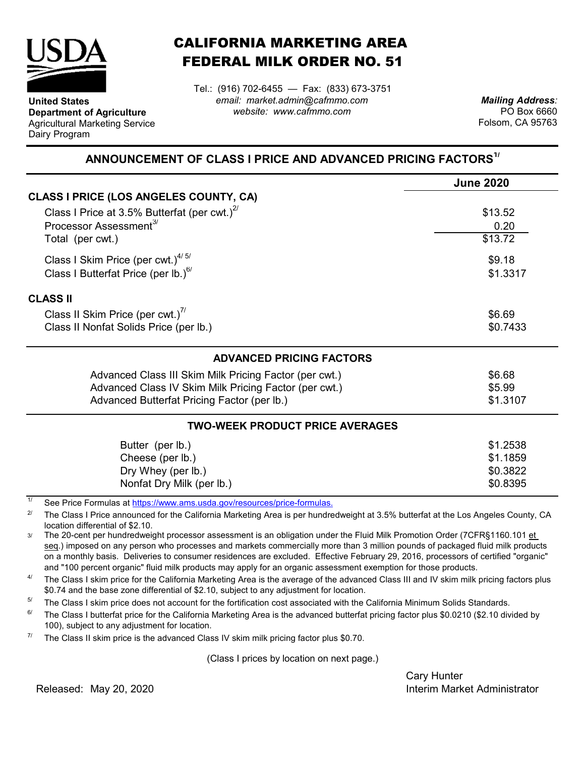

**United States**

Dairy Program

**Department of Agriculture** Agricultural Marketing Service

## CALIFORNIA MARKETING AREA FEDERAL MILK ORDER NO. 51

Tel.: (916) 702-6455 — Fax: (833) 673-3751 *email: market.admin@cafmmo.com website: www.cafmmo.com*

*Mailing Address:* PO Box 6660 Folsom, CA 95763

## **ANNOUNCEMENT OF CLASS I PRICE AND ADVANCED PRICING FACTORS1/**

|                                                                               | <b>June 2020</b> |  |  |  |
|-------------------------------------------------------------------------------|------------------|--|--|--|
| <b>CLASS I PRICE (LOS ANGELES COUNTY, CA)</b>                                 |                  |  |  |  |
| Class I Price at 3.5% Butterfat (per cwt.) $^{27}$                            | \$13.52          |  |  |  |
| Processor Assessment <sup>3/</sup>                                            | 0.20             |  |  |  |
| Total (per cwt.)                                                              | \$13.72          |  |  |  |
| Class I Skim Price (per cwt.) $4/5/$                                          | \$9.18           |  |  |  |
| Class I Butterfat Price (per lb.) $^{6/}$<br>\$1.3317                         |                  |  |  |  |
| <b>CLASS II</b>                                                               |                  |  |  |  |
| Class II Skim Price (per cwt.) <sup>7/</sup>                                  | \$6.69           |  |  |  |
| Class II Nonfat Solids Price (per lb.)                                        | \$0.7433         |  |  |  |
| <b>ADVANCED PRICING FACTORS</b>                                               |                  |  |  |  |
| Advanced Class III Skim Milk Pricing Factor (per cwt.)                        | \$6.68           |  |  |  |
| Advanced Class IV Skim Milk Pricing Factor (per cwt.)                         | \$5.99           |  |  |  |
| Advanced Butterfat Pricing Factor (per lb.)                                   | \$1.3107         |  |  |  |
| <b>TWO-WEEK PRODUCT PRICE AVERAGES</b>                                        |                  |  |  |  |
| Butter (per lb.)                                                              | \$1.2538         |  |  |  |
| Cheese (per lb.)                                                              | \$1.1859         |  |  |  |
| Dry Whey (per lb.)                                                            | \$0.3822         |  |  |  |
| Nonfat Dry Milk (per lb.)                                                     | \$0.8395         |  |  |  |
| 1/<br>Cee Dries Fermules of https://www.ams.uado.gov/resources/prise fermules |                  |  |  |  |

See Price Formulas at https://www.ams.usda.gov/resources/price-formulas.

2/ The Class I Price announced for the California Marketing Area is per hundredweight at 3.5% butterfat at the Los Angeles County, CA location differential of \$2.10.

3/ The 20-cent per hundredweight processor assessment is an obligation under the Fluid Milk Promotion Order (7CFR§1160.101 et seq.) imposed on any person who processes and markets commercially more than 3 million pounds of packaged fluid milk products on a monthly basis. Deliveries to consumer residences are excluded. Effective February 29, 2016, processors of certified "organic" and "100 percent organic" fluid milk products may apply for an organic assessment exemption for those products.

4/ The Class I skim price for the California Marketing Area is the average of the advanced Class III and IV skim milk pricing factors plus \$0.74 and the base zone differential of \$2.10, subject to any adjustment for location.

5/ The Class I skim price does not account for the fortification cost associated with the California Minimum Solids Standards.

6/ The Class I butterfat price for the California Marketing Area is the advanced butterfat pricing factor plus \$0.0210 (\$2.10 divided by 100), subject to any adjustment for location.

7/ The Class II skim price is the advanced Class IV skim milk pricing factor plus \$0.70.

(Class I prices by location on next page.)

Cary Hunter Released: Interim Market Administrator May 20, 2020